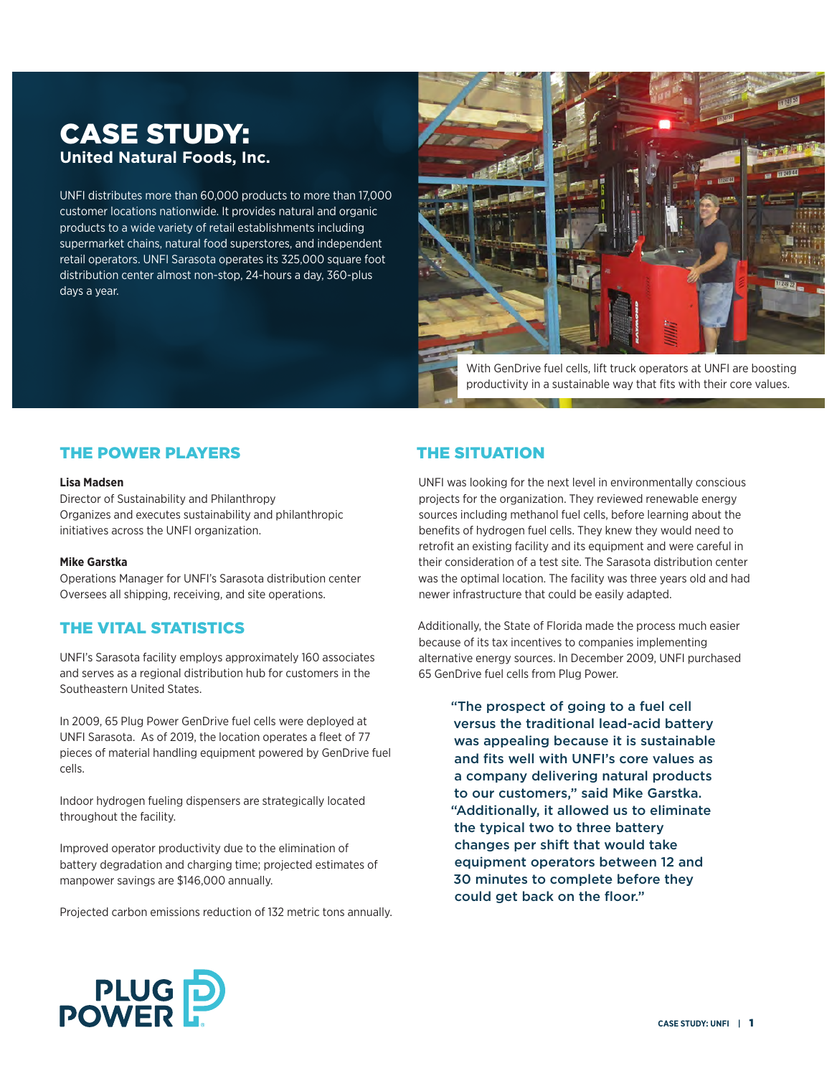# CASE STUDY: **United Natural Foods, Inc.**

UNFI distributes more than 60,000 products to more than 17,000 customer locations nationwide. It provides natural and organic products to a wide variety of retail establishments including supermarket chains, natural food superstores, and independent retail operators. UNFI Sarasota operates its 325,000 square foot distribution center almost non-stop, 24-hours a day, 360-plus days a year.



With GenDrive fuel cells, lift truck operators at UNFI are boosting productivity in a sustainable way that fits with their core values.

### THE POWER PLAYERS

#### **Lisa Madsen**

Director of Sustainability and Philanthropy Organizes and executes sustainability and philanthropic initiatives across the UNFI organization.

### **Mike Garstka**

Operations Manager for UNFI's Sarasota distribution center Oversees all shipping, receiving, and site operations.

### THE VITAL STATISTICS

UNFI's Sarasota facility employs approximately 160 associates and serves as a regional distribution hub for customers in the Southeastern United States.

In 2009, 65 Plug Power GenDrive fuel cells were deployed at UNFI Sarasota. As of 2019, the location operates a fleet of 77 pieces of material handling equipment powered by GenDrive fuel cells.

Indoor hydrogen fueling dispensers are strategically located throughout the facility.

Improved operator productivity due to the elimination of battery degradation and charging time; projected estimates of manpower savings are \$146,000 annually.

Projected carbon emissions reduction of 132 metric tons annually.

## THE SITUATION

UNFI was looking for the next level in environmentally conscious projects for the organization. They reviewed renewable energy sources including methanol fuel cells, before learning about the benefits of hydrogen fuel cells. They knew they would need to retrofit an existing facility and its equipment and were careful in their consideration of a test site. The Sarasota distribution center was the optimal location. The facility was three years old and had newer infrastructure that could be easily adapted.

Additionally, the State of Florida made the process much easier because of its tax incentives to companies implementing alternative energy sources. In December 2009, UNFI purchased 65 GenDrive fuel cells from Plug Power.

> "The prospect of going to a fuel cell versus the traditional lead-acid battery was appealing because it is sustainable and fits well with UNFI's core values as a company delivering natural products to our customers," said Mike Garstka. "Additionally, it allowed us to eliminate the typical two to three battery changes per shift that would take equipment operators between 12 and 30 minutes to complete before they could get back on the floor."